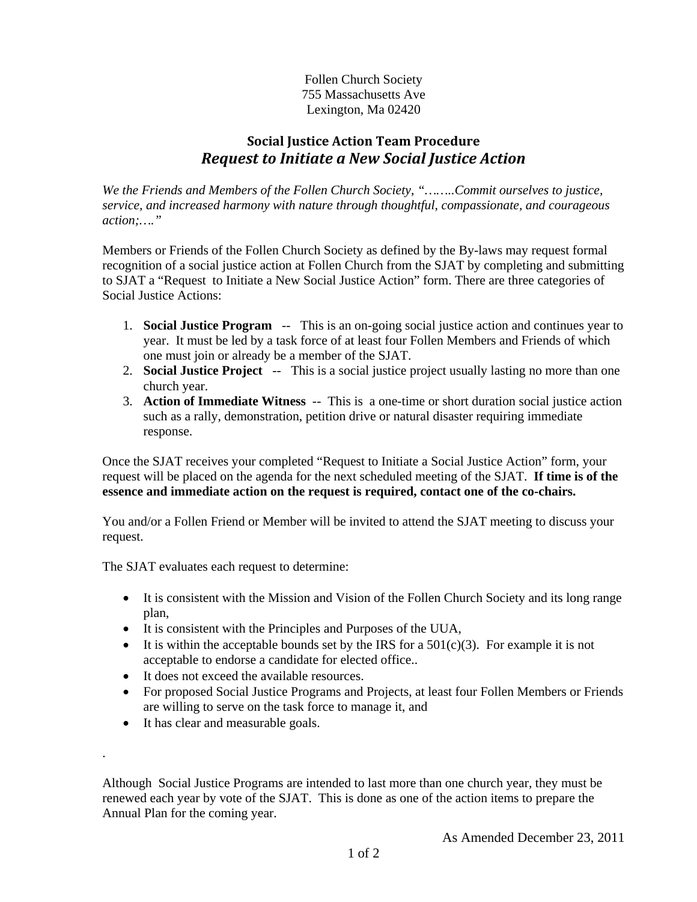Follen Church Society 755 Massachusetts Ave Lexington, Ma 02420

## **Social Justice Action Team Procedure** *Request to Initiate a New Social Justice Action*

*We the Friends and Members of the Follen Church Society, "……..Commit ourselves to justice, service, and increased harmony with nature through thoughtful, compassionate, and courageous action;…."* 

Members or Friends of the Follen Church Society as defined by the By-laws may request formal recognition of a social justice action at Follen Church from the SJAT by completing and submitting to SJAT a "Request to Initiate a New Social Justice Action" form. There are three categories of Social Justice Actions:

- 1. **Social Justice Program** -- This is an on-going social justice action and continues year to year. It must be led by a task force of at least four Follen Members and Friends of which one must join or already be a member of the SJAT.
- 2. **Social Justice Project** -- This is a social justice project usually lasting no more than one church year.
- 3. **Action of Immediate Witness** -- This is a one-time or short duration social justice action such as a rally, demonstration, petition drive or natural disaster requiring immediate response.

Once the SJAT receives your completed "Request to Initiate a Social Justice Action" form, your request will be placed on the agenda for the next scheduled meeting of the SJAT. **If time is of the essence and immediate action on the request is required, contact one of the co-chairs.** 

You and/or a Follen Friend or Member will be invited to attend the SJAT meeting to discuss your request.

The SJAT evaluates each request to determine:

- It is consistent with the Mission and Vision of the Follen Church Society and its long range plan,
- It is consistent with the Principles and Purposes of the UUA,
- It is within the acceptable bounds set by the IRS for a  $501(c)(3)$ . For example it is not acceptable to endorse a candidate for elected office..
- It does not exceed the available resources.
- For proposed Social Justice Programs and Projects, at least four Follen Members or Friends are willing to serve on the task force to manage it, and
- It has clear and measurable goals.

.

Although Social Justice Programs are intended to last more than one church year, they must be renewed each year by vote of the SJAT. This is done as one of the action items to prepare the Annual Plan for the coming year.